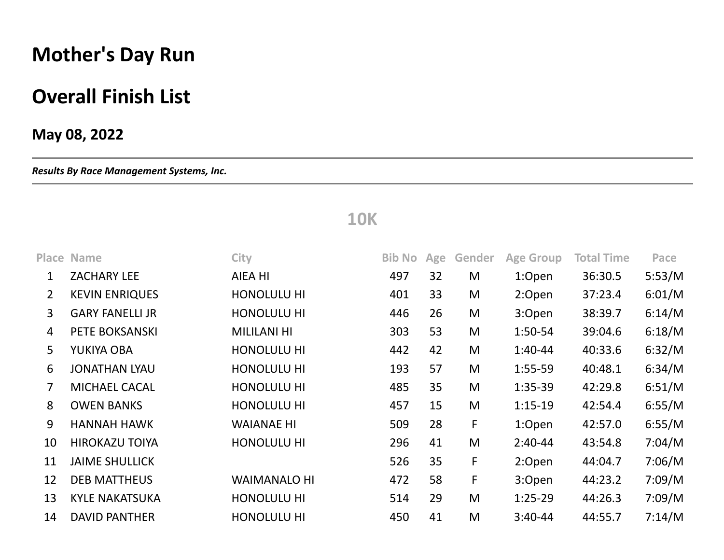## **Mother's Day Run**

## **Overall Finish List**

## **May 08, 2022**

*Results By Race Management Systems, Inc.*

## **10K**

|                | <b>Place Name</b>      | <b>City</b>         | <b>Bib No</b> | Age | Gender | <b>Age Group</b> | <b>Total Time</b> | Pace   |
|----------------|------------------------|---------------------|---------------|-----|--------|------------------|-------------------|--------|
| 1              | <b>ZACHARY LEE</b>     | AIEA HI             | 497           | 32  | M      | 1:Open           | 36:30.5           | 5:53/M |
| $\overline{2}$ | <b>KEVIN ENRIQUES</b>  | <b>HONOLULU HI</b>  | 401           | 33  | M      | 2:Open           | 37:23.4           | 6:01/M |
| 3              | <b>GARY FANELLI JR</b> | <b>HONOLULU HI</b>  | 446           | 26  | M      | 3:Open           | 38:39.7           | 6:14/M |
| 4              | PETE BOKSANSKI         | <b>MILILANI HI</b>  | 303           | 53  | M      | $1:50-54$        | 39:04.6           | 6:18/M |
| 5              | YUKIYA OBA             | <b>HONOLULU HI</b>  | 442           | 42  | M      | $1:40-44$        | 40:33.6           | 6:32/M |
| 6              | <b>JONATHAN LYAU</b>   | <b>HONOLULU HI</b>  | 193           | 57  | M      | $1:55-59$        | 40:48.1           | 6:34/M |
| 7              | <b>MICHAEL CACAL</b>   | <b>HONOLULU HI</b>  | 485           | 35  | M      | $1:35-39$        | 42:29.8           | 6:51/M |
| 8              | <b>OWEN BANKS</b>      | <b>HONOLULU HI</b>  | 457           | 15  | M      | $1:15-19$        | 42:54.4           | 6:55/M |
| 9              | <b>HANNAH HAWK</b>     | <b>WAIANAE HI</b>   | 509           | 28  | F      | 1:Open           | 42:57.0           | 6:55/M |
| 10             | <b>HIROKAZU TOIYA</b>  | <b>HONOLULU HI</b>  | 296           | 41  | M      | $2:40-44$        | 43:54.8           | 7:04/M |
| 11             | <b>JAIME SHULLICK</b>  |                     | 526           | 35  | F      | 2:Open           | 44:04.7           | 7:06/M |
| 12             | <b>DEB MATTHEUS</b>    | <b>WAIMANALO HI</b> | 472           | 58  | F      | 3:Open           | 44:23.2           | 7:09/M |
| 13             | <b>KYLE NAKATSUKA</b>  | HONOLULU HI         | 514           | 29  | M      | $1:25-29$        | 44:26.3           | 7:09/M |
| 14             | <b>DAVID PANTHER</b>   | <b>HONOLULU HI</b>  | 450           | 41  | M      | $3:40-44$        | 44:55.7           | 7:14/M |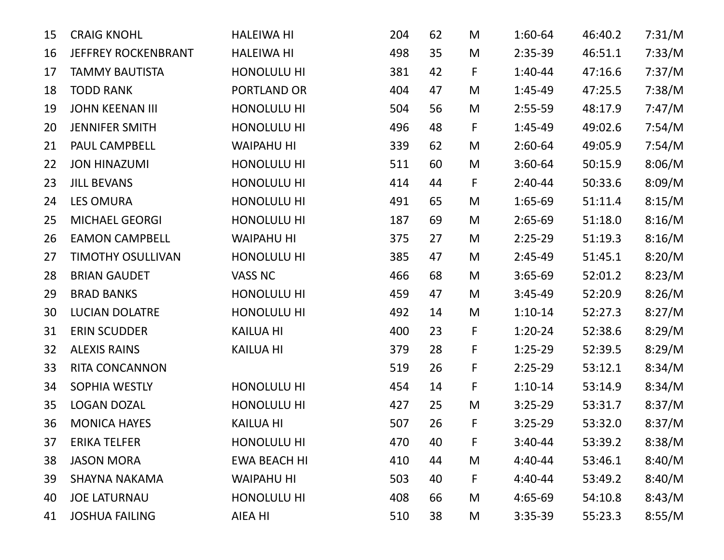| 15 | <b>CRAIG KNOHL</b>         | <b>HALEIWA HI</b>   | 204 | 62 | M | $1:60-64$ | 46:40.2 | 7:31/M |
|----|----------------------------|---------------------|-----|----|---|-----------|---------|--------|
| 16 | <b>JEFFREY ROCKENBRANT</b> | <b>HALEIWA HI</b>   | 498 | 35 | M | $2:35-39$ | 46:51.1 | 7:33/M |
| 17 | <b>TAMMY BAUTISTA</b>      | HONOLULU HI         | 381 | 42 | F | $1:40-44$ | 47:16.6 | 7:37/M |
| 18 | <b>TODD RANK</b>           | PORTLAND OR         | 404 | 47 | M | $1:45-49$ | 47:25.5 | 7:38/M |
| 19 | <b>JOHN KEENAN III</b>     | HONOLULU HI         | 504 | 56 | M | $2:55-59$ | 48:17.9 | 7:47/M |
| 20 | <b>JENNIFER SMITH</b>      | HONOLULU HI         | 496 | 48 | F | $1:45-49$ | 49:02.6 | 7:54/M |
| 21 | PAUL CAMPBELL              | <b>WAIPAHU HI</b>   | 339 | 62 | M | $2:60-64$ | 49:05.9 | 7:54/M |
| 22 | <b>JON HINAZUMI</b>        | HONOLULU HI         | 511 | 60 | M | $3:60-64$ | 50:15.9 | 8:06/M |
| 23 | <b>JILL BEVANS</b>         | HONOLULU HI         | 414 | 44 | F | $2:40-44$ | 50:33.6 | 8:09/M |
| 24 | <b>LES OMURA</b>           | HONOLULU HI         | 491 | 65 | M | $1:65-69$ | 51:11.4 | 8:15/M |
| 25 | <b>MICHAEL GEORGI</b>      | HONOLULU HI         | 187 | 69 | M | $2:65-69$ | 51:18.0 | 8:16/M |
| 26 | <b>EAMON CAMPBELL</b>      | <b>WAIPAHU HI</b>   | 375 | 27 | M | $2:25-29$ | 51:19.3 | 8:16/M |
| 27 | <b>TIMOTHY OSULLIVAN</b>   | HONOLULU HI         | 385 | 47 | M | $2:45-49$ | 51:45.1 | 8:20/M |
| 28 | <b>BRIAN GAUDET</b>        | VASS NC             | 466 | 68 | M | $3:65-69$ | 52:01.2 | 8:23/M |
| 29 | <b>BRAD BANKS</b>          | HONOLULU HI         | 459 | 47 | M | $3:45-49$ | 52:20.9 | 8:26/M |
| 30 | <b>LUCIAN DOLATRE</b>      | HONOLULU HI         | 492 | 14 | M | $1:10-14$ | 52:27.3 | 8:27/M |
| 31 | <b>ERIN SCUDDER</b>        | <b>KAILUA HI</b>    | 400 | 23 | F | $1:20-24$ | 52:38.6 | 8:29/M |
| 32 | <b>ALEXIS RAINS</b>        | <b>KAILUA HI</b>    | 379 | 28 | F | $1:25-29$ | 52:39.5 | 8:29/M |
| 33 | RITA CONCANNON             |                     | 519 | 26 | F | $2:25-29$ | 53:12.1 | 8:34/M |
| 34 | SOPHIA WESTLY              | HONOLULU HI         | 454 | 14 | F | $1:10-14$ | 53:14.9 | 8:34/M |
| 35 | <b>LOGAN DOZAL</b>         | HONOLULU HI         | 427 | 25 | M | $3:25-29$ | 53:31.7 | 8:37/M |
| 36 | <b>MONICA HAYES</b>        | <b>KAILUA HI</b>    | 507 | 26 | F | $3:25-29$ | 53:32.0 | 8:37/M |
| 37 | <b>ERIKA TELFER</b>        | <b>HONOLULU HI</b>  | 470 | 40 | F | $3:40-44$ | 53:39.2 | 8:38/M |
| 38 | <b>JASON MORA</b>          | <b>EWA BEACH HI</b> | 410 | 44 | M | $4:40-44$ | 53:46.1 | 8:40/M |
| 39 | <b>SHAYNA NAKAMA</b>       | <b>WAIPAHU HI</b>   | 503 | 40 | F | $4:40-44$ | 53:49.2 | 8:40/M |
| 40 | <b>JOE LATURNAU</b>        | HONOLULU HI         | 408 | 66 | M | $4:65-69$ | 54:10.8 | 8:43/M |
| 41 | <b>JOSHUA FAILING</b>      | AIEA HI             | 510 | 38 | M | $3:35-39$ | 55:23.3 | 8:55/M |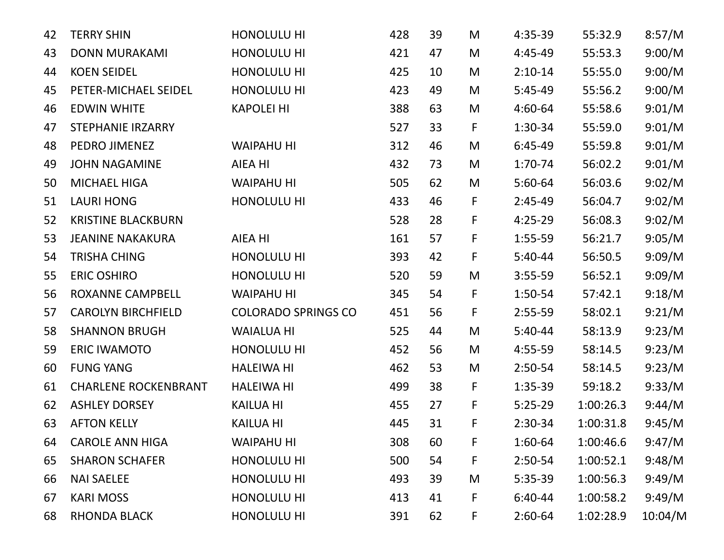| 42 | <b>TERRY SHIN</b>           | HONOLULU HI                | 428 | 39 | M | 4:35-39   | 55:32.9   | 8:57/M  |
|----|-----------------------------|----------------------------|-----|----|---|-----------|-----------|---------|
| 43 | <b>DONN MURAKAMI</b>        | HONOLULU HI                | 421 | 47 | M | $4:45-49$ | 55:53.3   | 9:00/M  |
| 44 | <b>KOEN SEIDEL</b>          | HONOLULU HI                | 425 | 10 | M | $2:10-14$ | 55:55.0   | 9:00/M  |
| 45 | PETER-MICHAEL SEIDEL        | HONOLULU HI                | 423 | 49 | M | $5:45-49$ | 55:56.2   | 9:00/M  |
| 46 | <b>EDWIN WHITE</b>          | <b>KAPOLEI HI</b>          | 388 | 63 | M | 4:60-64   | 55:58.6   | 9:01/M  |
| 47 | <b>STEPHANIE IRZARRY</b>    |                            | 527 | 33 | F | 1:30-34   | 55:59.0   | 9:01/M  |
| 48 | PEDRO JIMENEZ               | <b>WAIPAHU HI</b>          | 312 | 46 | M | $6:45-49$ | 55:59.8   | 9:01/M  |
| 49 | <b>JOHN NAGAMINE</b>        | AIEA HI                    | 432 | 73 | M | 1:70-74   | 56:02.2   | 9:01/M  |
| 50 | <b>MICHAEL HIGA</b>         | <b>WAIPAHU HI</b>          | 505 | 62 | M | $5:60-64$ | 56:03.6   | 9:02/M  |
| 51 | <b>LAURI HONG</b>           | HONOLULU HI                | 433 | 46 | F | $2:45-49$ | 56:04.7   | 9:02/M  |
| 52 | <b>KRISTINE BLACKBURN</b>   |                            | 528 | 28 | F | $4:25-29$ | 56:08.3   | 9:02/M  |
| 53 | <b>JEANINE NAKAKURA</b>     | AIEA HI                    | 161 | 57 | F | $1:55-59$ | 56:21.7   | 9:05/M  |
| 54 | <b>TRISHA CHING</b>         | HONOLULU HI                | 393 | 42 | F | $5:40-44$ | 56:50.5   | 9:09/M  |
| 55 | <b>ERIC OSHIRO</b>          | HONOLULU HI                | 520 | 59 | M | $3:55-59$ | 56:52.1   | 9:09/M  |
| 56 | ROXANNE CAMPBELL            | <b>WAIPAHU HI</b>          | 345 | 54 | F | $1:50-54$ | 57:42.1   | 9:18/M  |
| 57 | <b>CAROLYN BIRCHFIELD</b>   | <b>COLORADO SPRINGS CO</b> | 451 | 56 | F | $2:55-59$ | 58:02.1   | 9:21/M  |
| 58 | <b>SHANNON BRUGH</b>        | <b>WAIALUA HI</b>          | 525 | 44 | M | $5:40-44$ | 58:13.9   | 9:23/M  |
| 59 | <b>ERIC IWAMOTO</b>         | HONOLULU HI                | 452 | 56 | M | 4:55-59   | 58:14.5   | 9:23/M  |
| 60 | <b>FUNG YANG</b>            | <b>HALEIWA HI</b>          | 462 | 53 | M | $2:50-54$ | 58:14.5   | 9:23/M  |
| 61 | <b>CHARLENE ROCKENBRANT</b> | <b>HALEIWA HI</b>          | 499 | 38 | F | $1:35-39$ | 59:18.2   | 9:33/M  |
| 62 | <b>ASHLEY DORSEY</b>        | <b>KAILUA HI</b>           | 455 | 27 | F | $5:25-29$ | 1:00:26.3 | 9:44/M  |
| 63 | <b>AFTON KELLY</b>          | <b>KAILUA HI</b>           | 445 | 31 | F | $2:30-34$ | 1:00:31.8 | 9:45/M  |
| 64 | <b>CAROLE ANN HIGA</b>      | <b>WAIPAHU HI</b>          | 308 | 60 | F | 1:60-64   | 1:00:46.6 | 9:47/M  |
| 65 | <b>SHARON SCHAFER</b>       | HONOLULU HI                | 500 | 54 | F | $2:50-54$ | 1:00:52.1 | 9:48/M  |
| 66 | <b>NAI SAELEE</b>           | HONOLULU HI                | 493 | 39 | M | $5:35-39$ | 1:00:56.3 | 9:49/M  |
| 67 | <b>KARI MOSS</b>            | HONOLULU HI                | 413 | 41 | F | $6:40-44$ | 1:00:58.2 | 9:49/M  |
| 68 | <b>RHONDA BLACK</b>         | HONOLULU HI                | 391 | 62 | F | $2:60-64$ | 1:02:28.9 | 10:04/M |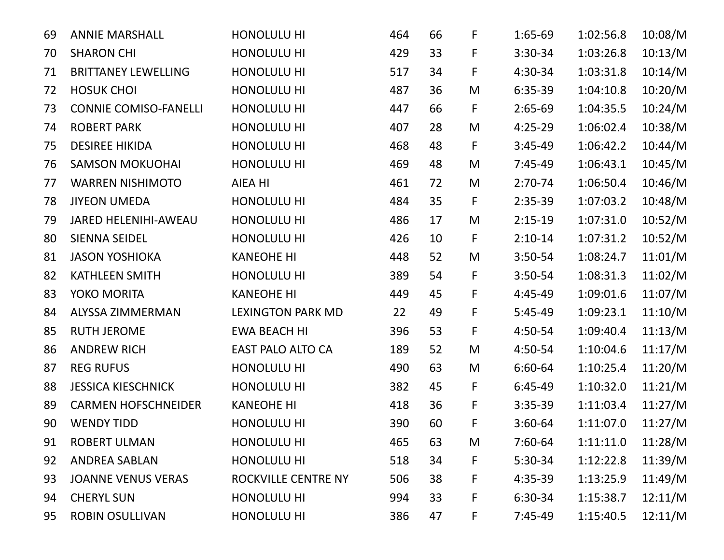| 69 | <b>ANNIE MARSHALL</b>        | HONOLULU HI              | 464 | 66 | F                                                                                     | 1:65-69   | 1:02:56.8 | 10:08/M |
|----|------------------------------|--------------------------|-----|----|---------------------------------------------------------------------------------------|-----------|-----------|---------|
| 70 | <b>SHARON CHI</b>            | HONOLULU HI              | 429 | 33 | F                                                                                     | 3:30-34   | 1:03:26.8 | 10:13/M |
| 71 | <b>BRITTANEY LEWELLING</b>   | HONOLULU HI              | 517 | 34 | F                                                                                     | 4:30-34   | 1:03:31.8 | 10:14/M |
| 72 | <b>HOSUK CHOI</b>            | HONOLULU HI              | 487 | 36 | M                                                                                     | 6:35-39   | 1:04:10.8 | 10:20/M |
| 73 | <b>CONNIE COMISO-FANELLI</b> | HONOLULU HI              | 447 | 66 | F                                                                                     | $2:65-69$ | 1:04:35.5 | 10:24/M |
| 74 | <b>ROBERT PARK</b>           | HONOLULU HI              | 407 | 28 | M                                                                                     | $4:25-29$ | 1:06:02.4 | 10:38/M |
| 75 | <b>DESIREE HIKIDA</b>        | HONOLULU HI              | 468 | 48 | F                                                                                     | $3:45-49$ | 1:06:42.2 | 10:44/M |
| 76 | <b>SAMSON MOKUOHAI</b>       | HONOLULU HI              | 469 | 48 | M                                                                                     | $7:45-49$ | 1:06:43.1 | 10:45/M |
| 77 | <b>WARREN NISHIMOTO</b>      | <b>AIEA HI</b>           | 461 | 72 | M                                                                                     | $2:70-74$ | 1:06:50.4 | 10:46/M |
| 78 | <b>JIYEON UMEDA</b>          | HONOLULU HI              | 484 | 35 | F                                                                                     | $2:35-39$ | 1:07:03.2 | 10:48/M |
| 79 | <b>JARED HELENIHI-AWEAU</b>  | HONOLULU HI              | 486 | 17 | M                                                                                     | $2:15-19$ | 1:07:31.0 | 10:52/M |
| 80 | <b>SIENNA SEIDEL</b>         | HONOLULU HI              | 426 | 10 | F                                                                                     | $2:10-14$ | 1:07:31.2 | 10:52/M |
| 81 | <b>JASON YOSHIOKA</b>        | <b>KANEOHE HI</b>        | 448 | 52 | M                                                                                     | 3:50-54   | 1:08:24.7 | 11:01/M |
| 82 | <b>KATHLEEN SMITH</b>        | HONOLULU HI              | 389 | 54 | F                                                                                     | $3:50-54$ | 1:08:31.3 | 11:02/M |
| 83 | YOKO MORITA                  | <b>KANEOHE HI</b>        | 449 | 45 | F                                                                                     | 4:45-49   | 1:09:01.6 | 11:07/M |
| 84 | <b>ALYSSA ZIMMERMAN</b>      | <b>LEXINGTON PARK MD</b> | 22  | 49 | F                                                                                     | $5:45-49$ | 1:09:23.1 | 11:10/M |
| 85 | <b>RUTH JEROME</b>           | <b>EWA BEACH HI</b>      | 396 | 53 | F                                                                                     | 4:50-54   | 1:09:40.4 | 11:13/M |
| 86 | <b>ANDREW RICH</b>           | <b>EAST PALO ALTO CA</b> | 189 | 52 | M                                                                                     | 4:50-54   | 1:10:04.6 | 11:17/M |
| 87 | <b>REG RUFUS</b>             | HONOLULU HI              | 490 | 63 | M                                                                                     | 6:60-64   | 1:10:25.4 | 11:20/M |
| 88 | <b>JESSICA KIESCHNICK</b>    | HONOLULU HI              | 382 | 45 | F                                                                                     | $6:45-49$ | 1:10:32.0 | 11:21/M |
| 89 | <b>CARMEN HOFSCHNEIDER</b>   | <b>KANEOHE HI</b>        | 418 | 36 | F                                                                                     | $3:35-39$ | 1:11:03.4 | 11:27/M |
| 90 | <b>WENDY TIDD</b>            | HONOLULU HI              | 390 | 60 | F                                                                                     | $3:60-64$ | 1:11:07.0 | 11:27/M |
| 91 | <b>ROBERT ULMAN</b>          | HONOLULU HI              | 465 | 63 | $\mathsf{M}% _{T}=\mathsf{M}_{T}\!\left( a,b\right) ,\ \mathsf{M}_{T}=\mathsf{M}_{T}$ | 7:60-64   | 1:11:11.0 | 11:28/M |
| 92 | <b>ANDREA SABLAN</b>         | HONOLULU HI              | 518 | 34 | F                                                                                     | $5:30-34$ | 1:12:22.8 | 11:39/M |
| 93 | <b>JOANNE VENUS VERAS</b>    | ROCKVILLE CENTRE NY      | 506 | 38 | F                                                                                     | 4:35-39   | 1:13:25.9 | 11:49/M |
| 94 | <b>CHERYL SUN</b>            | HONOLULU HI              | 994 | 33 | F                                                                                     | 6:30-34   | 1:15:38.7 | 12:11/M |
| 95 | <b>ROBIN OSULLIVAN</b>       | HONOLULU HI              | 386 | 47 | F,                                                                                    | $7:45-49$ | 1:15:40.5 | 12:11/M |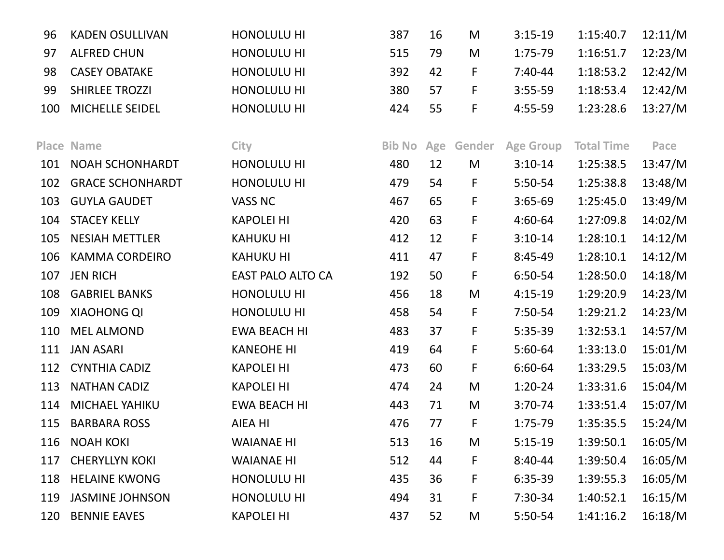| 96  | <b>KADEN OSULLIVAN</b>  | HONOLULU HI              | 387           | 16  | M                                                                                     | $3:15-19$        | 1:15:40.7         | 12:11/M |
|-----|-------------------------|--------------------------|---------------|-----|---------------------------------------------------------------------------------------|------------------|-------------------|---------|
| 97  | <b>ALFRED CHUN</b>      | HONOLULU HI              | 515           | 79  | M                                                                                     | $1:75-79$        | 1:16:51.7         | 12:23/M |
| 98  | <b>CASEY OBATAKE</b>    | <b>HONOLULU HI</b>       | 392           | 42  | F                                                                                     | $7:40-44$        | 1:18:53.2         | 12:42/M |
| 99  | <b>SHIRLEE TROZZI</b>   | HONOLULU HI              | 380           | 57  | F                                                                                     | $3:55-59$        | 1:18:53.4         | 12:42/M |
| 100 | MICHELLE SEIDEL         | HONOLULU HI              | 424           | 55  | F                                                                                     | $4:55-59$        | 1:23:28.6         | 13:27/M |
|     |                         |                          |               |     |                                                                                       |                  |                   |         |
|     | <b>Place Name</b>       | City                     | <b>Bib No</b> | Age | Gender                                                                                | <b>Age Group</b> | <b>Total Time</b> | Pace    |
| 101 | <b>NOAH SCHONHARDT</b>  | HONOLULU HI              | 480           | 12  | M                                                                                     | $3:10-14$        | 1:25:38.5         | 13:47/M |
| 102 | <b>GRACE SCHONHARDT</b> | HONOLULU HI              | 479           | 54  | F                                                                                     | 5:50-54          | 1:25:38.8         | 13:48/M |
| 103 | <b>GUYLA GAUDET</b>     | <b>VASS NC</b>           | 467           | 65  | F                                                                                     | $3:65-69$        | 1:25:45.0         | 13:49/M |
| 104 | <b>STACEY KELLY</b>     | <b>KAPOLEI HI</b>        | 420           | 63  | F                                                                                     | 4:60-64          | 1:27:09.8         | 14:02/M |
| 105 | <b>NESIAH METTLER</b>   | <b>KAHUKU HI</b>         | 412           | 12  | F                                                                                     | $3:10-14$        | 1:28:10.1         | 14:12/M |
| 106 | <b>KAMMA CORDEIRO</b>   | <b>KAHUKU HI</b>         | 411           | 47  | F                                                                                     | 8:45-49          | 1:28:10.1         | 14:12/M |
| 107 | <b>JEN RICH</b>         | <b>EAST PALO ALTO CA</b> | 192           | 50  | F                                                                                     | 6:50-54          | 1:28:50.0         | 14:18/M |
| 108 | <b>GABRIEL BANKS</b>    | <b>HONOLULU HI</b>       | 456           | 18  | M                                                                                     | $4:15-19$        | 1:29:20.9         | 14:23/M |
| 109 | <b>XIAOHONG QI</b>      | HONOLULU HI              | 458           | 54  | F                                                                                     | 7:50-54          | 1:29:21.2         | 14:23/M |
| 110 | <b>MEL ALMOND</b>       | <b>EWA BEACH HI</b>      | 483           | 37  | F                                                                                     | 5:35-39          | 1:32:53.1         | 14:57/M |
| 111 | <b>JAN ASARI</b>        | <b>KANEOHE HI</b>        | 419           | 64  | F                                                                                     | $5:60-64$        | 1:33:13.0         | 15:01/M |
| 112 | <b>CYNTHIA CADIZ</b>    | <b>KAPOLEI HI</b>        | 473           | 60  | F                                                                                     | 6:60-64          | 1:33:29.5         | 15:03/M |
| 113 | <b>NATHAN CADIZ</b>     | <b>KAPOLEI HI</b>        | 474           | 24  | $\mathsf{M}% _{T}=\mathsf{M}_{T}\!\left( a,b\right) ,\ \mathsf{M}_{T}=\mathsf{M}_{T}$ | $1:20-24$        | 1:33:31.6         | 15:04/M |
| 114 | MICHAEL YAHIKU          | <b>EWA BEACH HI</b>      | 443           | 71  | M                                                                                     | $3:70-74$        | 1:33:51.4         | 15:07/M |
| 115 | <b>BARBARA ROSS</b>     | AIEA HI                  | 476           | 77  | F                                                                                     | 1:75-79          | 1:35:35.5         | 15:24/M |
| 116 | <b>NOAH KOKI</b>        | <b>WAIANAE HI</b>        | 513           | 16  | M                                                                                     | $5:15-19$        | 1:39:50.1         | 16:05/M |
| 117 | <b>CHERYLLYN KOKI</b>   | <b>WAIANAE HI</b>        | 512           | 44  | F                                                                                     | $8:40-44$        | 1:39:50.4         | 16:05/M |
| 118 | <b>HELAINE KWONG</b>    | HONOLULU HI              | 435           | 36  | F                                                                                     | 6:35-39          | 1:39:55.3         | 16:05/M |
| 119 | <b>JASMINE JOHNSON</b>  | <b>HONOLULU HI</b>       | 494           | 31  | F                                                                                     | 7:30-34          | 1:40:52.1         | 16:15/M |
| 120 | <b>BENNIE EAVES</b>     | <b>KAPOLEI HI</b>        | 437           | 52  | M                                                                                     | $5:50-54$        | 1:41:16.2         | 16:18/M |